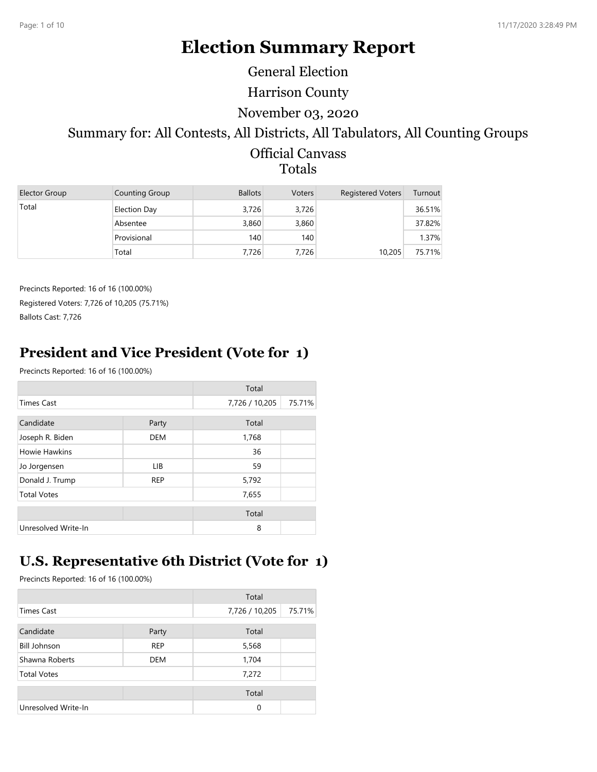# **Election Summary Report**

General Election

Harrison County

#### November 03, 2020

# Summary for: All Contests, All Districts, All Tabulators, All Counting Groups

#### Official Canvass Totals

| Elector Group | Counting Group | <b>Ballots</b> | Voters | <b>Registered Voters</b> | Turnout |
|---------------|----------------|----------------|--------|--------------------------|---------|
| Total         | Election Day   | 3.726          | 3,726  |                          | 36.51%  |
|               | Absentee       | 3,860          | 3,860  |                          | 37.82%  |
|               | Provisional    | 140            | 140    |                          | 1.37%   |
|               | Total          | 7,726          | 7.726  | 10,205                   | 75.71%  |

Precincts Reported: 16 of 16 (100.00%) Registered Voters: 7,726 of 10,205 (75.71%) Ballots Cast: 7,726

# **President and Vice President (Vote for 1)**

Precincts Reported: 16 of 16 (100.00%)

|                     |            | Total          |        |
|---------------------|------------|----------------|--------|
| <b>Times Cast</b>   |            | 7,726 / 10,205 | 75.71% |
| Candidate           | Party      | Total          |        |
| Joseph R. Biden     | <b>DEM</b> | 1,768          |        |
| Howie Hawkins       |            | 36             |        |
| Jo Jorgensen        | LIB        | 59             |        |
| Donald J. Trump     | <b>REP</b> | 5,792          |        |
| <b>Total Votes</b>  |            | 7,655          |        |
|                     |            | Total          |        |
| Unresolved Write-In |            | 8              |        |

# **U.S. Representative 6th District (Vote for 1)**

|                     |            | Total          |        |
|---------------------|------------|----------------|--------|
| <b>Times Cast</b>   |            | 7,726 / 10,205 | 75.71% |
| Candidate           | Party      | Total          |        |
| <b>Bill Johnson</b> | <b>REP</b> | 5,568          |        |
| Shawna Roberts      | <b>DEM</b> | 1,704          |        |
| <b>Total Votes</b>  |            | 7,272          |        |
|                     |            | Total          |        |
| Unresolved Write-In |            | 0              |        |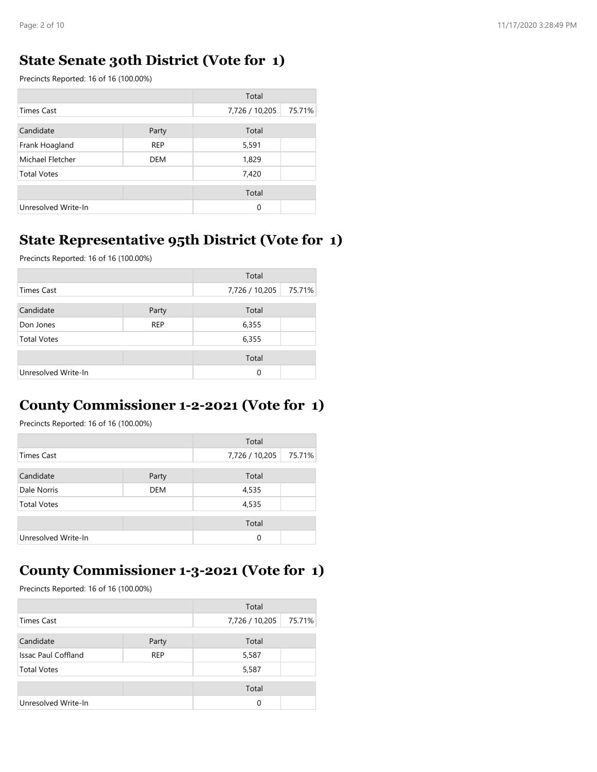### **State Senate 30th District (Vote for 1)**

Precincts Reported: 16 of 16 (100.00%)

|                     |            | Total          |        |
|---------------------|------------|----------------|--------|
| <b>Times Cast</b>   |            | 7,726 / 10,205 | 75.71% |
| Candidate           | Party      | Total          |        |
| Frank Hoagland      | <b>REP</b> | 5,591          |        |
| Michael Fletcher    | DEM        | 1,829          |        |
| <b>Total Votes</b>  |            | 7,420          |        |
|                     |            | Total          |        |
| Unresolved Write-In |            | $\Omega$       |        |

### **State Representative 95th District (Vote for 1)**

Precincts Reported: 16 of 16 (100.00%)

|                     |            | Total          |        |
|---------------------|------------|----------------|--------|
| <b>Times Cast</b>   |            | 7,726 / 10,205 | 75.71% |
| Candidate           | Party      | Total          |        |
| Don Jones           | <b>REP</b> | 6,355          |        |
| <b>Total Votes</b>  |            | 6,355          |        |
|                     |            |                |        |
|                     |            | Total          |        |
| Unresolved Write-In |            | $\Omega$       |        |

### **County Commissioner 1-2-2021 (Vote for 1)**

Precincts Reported: 16 of 16 (100.00%)

|                     |            | Total          |        |
|---------------------|------------|----------------|--------|
| Times Cast          |            | 7,726 / 10,205 | 75.71% |
| Candidate           | Party      | Total          |        |
| Dale Norris         | <b>DEM</b> | 4,535          |        |
| <b>Total Votes</b>  |            | 4,535          |        |
|                     |            | Total          |        |
| Unresolved Write-In |            | $\Omega$       |        |

# **County Commissioner 1-3-2021 (Vote for 1)**

|                            |            | Total          |        |
|----------------------------|------------|----------------|--------|
| <b>Times Cast</b>          |            | 7,726 / 10,205 | 75.71% |
| Candidate                  | Party      | Total          |        |
| <b>Issac Paul Coffland</b> | <b>REP</b> | 5,587          |        |
| <b>Total Votes</b>         |            | 5,587          |        |
|                            |            | Total          |        |
| Unresolved Write-In        |            | 0              |        |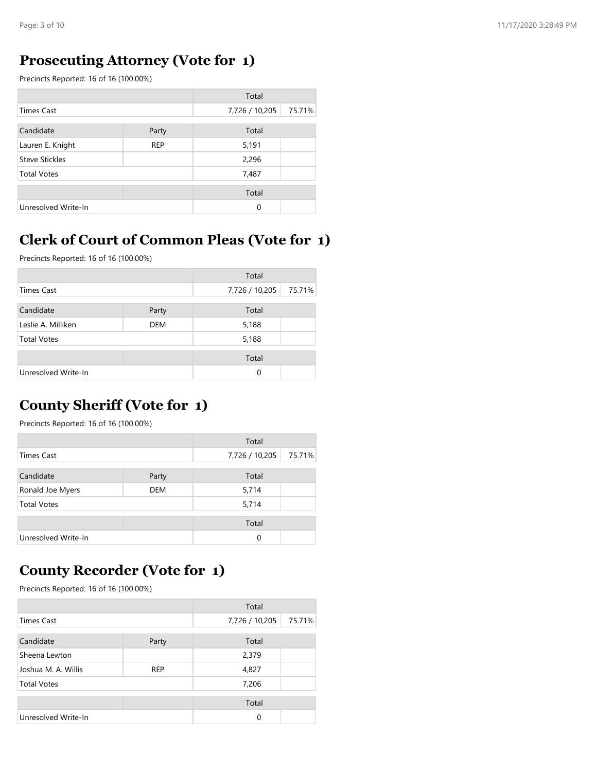### **Prosecuting Attorney (Vote for 1)**

Precincts Reported: 16 of 16 (100.00%)

|                       |            | Total          |        |
|-----------------------|------------|----------------|--------|
| <b>Times Cast</b>     |            | 7,726 / 10,205 | 75.71% |
| Candidate             | Party      | Total          |        |
| Lauren E. Knight      | <b>REP</b> | 5,191          |        |
| <b>Steve Stickles</b> |            | 2,296          |        |
| <b>Total Votes</b>    |            | 7,487          |        |
|                       |            | Total          |        |
| Unresolved Write-In   |            | $\Omega$       |        |

# **Clerk of Court of Common Pleas (Vote for 1)**

Precincts Reported: 16 of 16 (100.00%)

|                     |            | Total          |        |
|---------------------|------------|----------------|--------|
| Times Cast          |            | 7,726 / 10,205 | 75.71% |
| Candidate           | Party      | Total          |        |
| Leslie A. Milliken  | <b>DEM</b> | 5,188          |        |
| <b>Total Votes</b>  |            | 5,188          |        |
|                     |            | Total          |        |
| Unresolved Write-In |            | 0              |        |

### **County Sheriff (Vote for 1)**

Precincts Reported: 16 of 16 (100.00%)

|                     |            | Total          |        |
|---------------------|------------|----------------|--------|
| Times Cast          |            | 7,726 / 10,205 | 75.71% |
| Candidate           | Party      | Total          |        |
| Ronald Joe Myers    | <b>DEM</b> | 5,714          |        |
| <b>Total Votes</b>  |            | 5,714          |        |
|                     |            | Total          |        |
| Unresolved Write-In |            | 0              |        |

### **County Recorder (Vote for 1)**

|                     |            | Total          |        |
|---------------------|------------|----------------|--------|
| Times Cast          |            | 7,726 / 10,205 | 75.71% |
| Candidate           | Party      | Total          |        |
| Sheena Lewton       |            | 2,379          |        |
| Joshua M. A. Willis | <b>REP</b> | 4,827          |        |
| <b>Total Votes</b>  |            | 7,206          |        |
|                     |            | Total          |        |
| Unresolved Write-In |            | $\Omega$       |        |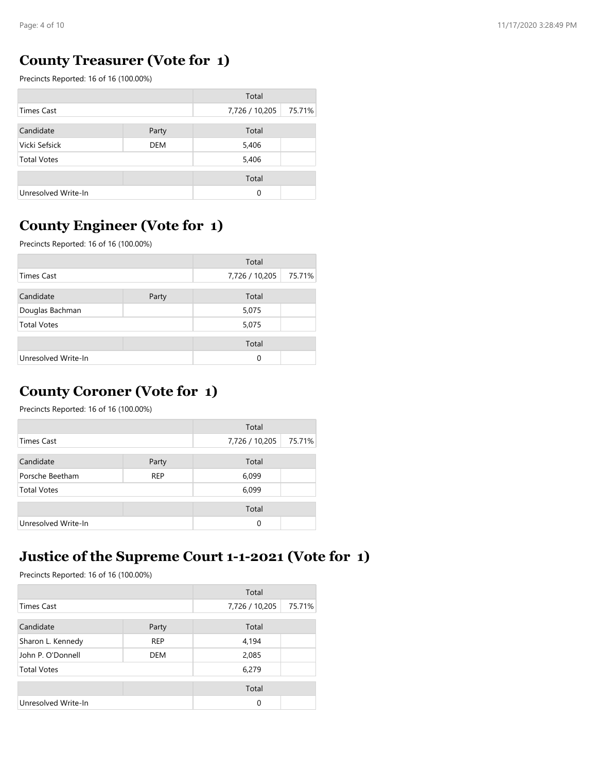### **County Treasurer (Vote for 1)**

Precincts Reported: 16 of 16 (100.00%)

|                     |            | Total          |        |
|---------------------|------------|----------------|--------|
| <b>Times Cast</b>   |            | 7,726 / 10,205 | 75.71% |
| Candidate           | Party      | Total          |        |
| Vicki Sefsick       | <b>DEM</b> | 5,406          |        |
| <b>Total Votes</b>  |            | 5,406          |        |
|                     |            | Total          |        |
| Unresolved Write-In |            | 0              |        |

# **County Engineer (Vote for 1)**

Precincts Reported: 16 of 16 (100.00%)

|                     |       | Total          |        |
|---------------------|-------|----------------|--------|
| Times Cast          |       | 7,726 / 10,205 | 75.71% |
| Candidate           | Party | Total          |        |
| Douglas Bachman     |       | 5,075          |        |
| <b>Total Votes</b>  |       | 5,075          |        |
|                     |       | Total          |        |
| Unresolved Write-In |       | $\Omega$       |        |

### **County Coroner (Vote for 1)**

Precincts Reported: 16 of 16 (100.00%)

|                     |            | Total          |        |
|---------------------|------------|----------------|--------|
| Times Cast          |            | 7,726 / 10,205 | 75.71% |
| Candidate           | Party      | Total          |        |
| Porsche Beetham     | <b>REP</b> | 6,099          |        |
| <b>Total Votes</b>  |            | 6,099          |        |
|                     |            | Total          |        |
| Unresolved Write-In |            | 0              |        |

#### **Justice of the Supreme Court 1-1-2021 (Vote for 1)**

|                     |            | Total          |        |
|---------------------|------------|----------------|--------|
| Times Cast          |            | 7,726 / 10,205 | 75.71% |
| Candidate           | Party      | Total          |        |
| Sharon L. Kennedy   | <b>REP</b> | 4,194          |        |
| John P. O'Donnell   | <b>DEM</b> | 2,085          |        |
| <b>Total Votes</b>  |            | 6,279          |        |
|                     |            | Total          |        |
| Unresolved Write-In |            | $\Omega$       |        |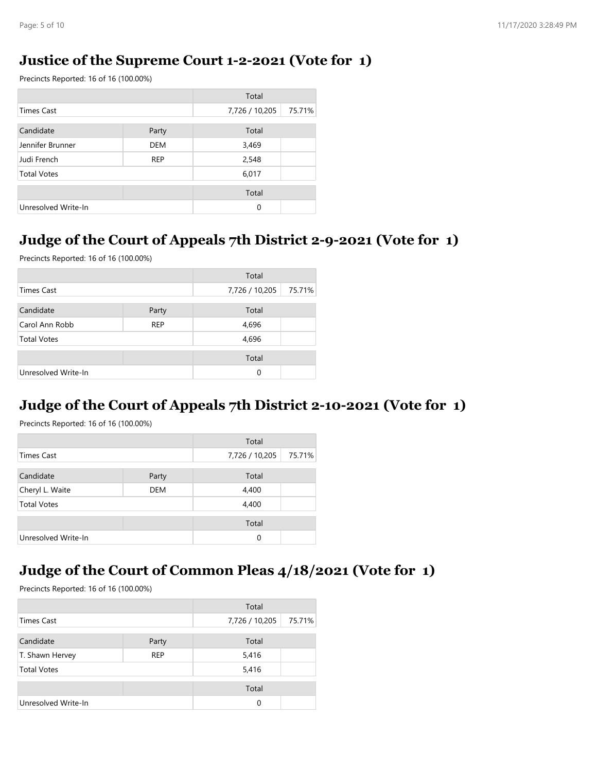#### **Justice of the Supreme Court 1-2-2021 (Vote for 1)**

Precincts Reported: 16 of 16 (100.00%)

|                     |            | Total          |        |
|---------------------|------------|----------------|--------|
| <b>Times Cast</b>   |            | 7,726 / 10,205 | 75.71% |
| Candidate           | Party      | Total          |        |
| Jennifer Brunner    | <b>DEM</b> | 3,469          |        |
| Judi French         | <b>REP</b> | 2,548          |        |
| <b>Total Votes</b>  |            | 6,017          |        |
|                     |            | Total          |        |
| Unresolved Write-In |            | 0              |        |

### **Judge of the Court of Appeals 7th District 2-9-2021 (Vote for 1)**

Precincts Reported: 16 of 16 (100.00%)

|                     |            | Total          |        |
|---------------------|------------|----------------|--------|
| <b>Times Cast</b>   |            | 7,726 / 10,205 | 75.71% |
| Candidate           | Party      | Total          |        |
| Carol Ann Robb      | <b>REP</b> | 4,696          |        |
| <b>Total Votes</b>  |            | 4,696          |        |
|                     |            | Total          |        |
| Unresolved Write-In |            | $\Omega$       |        |

#### **Judge of the Court of Appeals 7th District 2-10-2021 (Vote for 1)**

Precincts Reported: 16 of 16 (100.00%)

|                     |            | Total          |        |
|---------------------|------------|----------------|--------|
| Times Cast          |            | 7,726 / 10,205 | 75.71% |
|                     |            |                |        |
| Candidate           | Party      | Total          |        |
| Cheryl L. Waite     | <b>DEM</b> | 4,400          |        |
| <b>Total Votes</b>  |            | 4,400          |        |
|                     |            | Total          |        |
| Unresolved Write-In |            | $\Omega$       |        |

# **Judge of the Court of Common Pleas 4/18/2021 (Vote for 1)**

|                     |            | Total          |        |
|---------------------|------------|----------------|--------|
| Times Cast          |            | 7,726 / 10,205 | 75.71% |
| Candidate           | Party      | Total          |        |
| T. Shawn Hervey     | <b>REP</b> | 5,416          |        |
| <b>Total Votes</b>  |            | 5,416          |        |
|                     |            | Total          |        |
| Unresolved Write-In |            | $\Omega$       |        |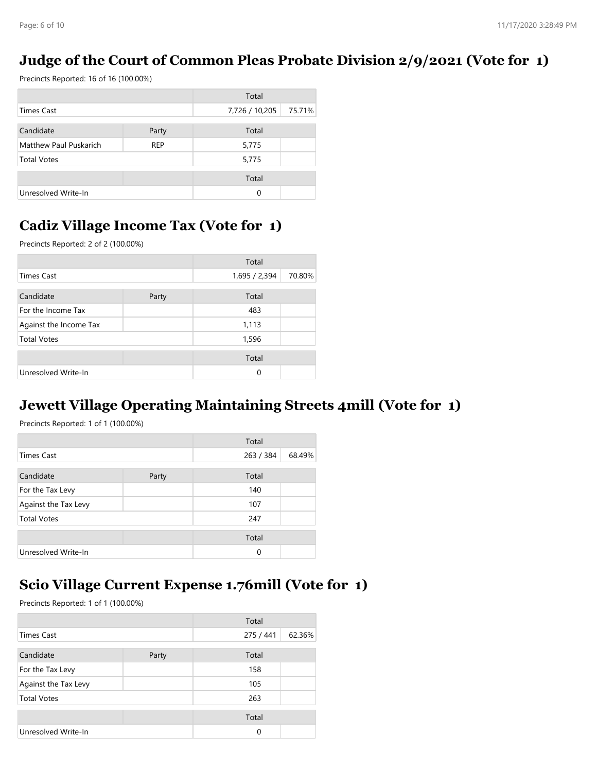### **Judge of the Court of Common Pleas Probate Division 2/9/2021 (Vote for 1)**

Precincts Reported: 16 of 16 (100.00%)

|                        |            | Total          |        |
|------------------------|------------|----------------|--------|
| <b>Times Cast</b>      |            | 7,726 / 10,205 | 75.71% |
| Candidate              | Party      | Total          |        |
| Matthew Paul Puskarich | <b>REP</b> | 5,775          |        |
| <b>Total Votes</b>     |            | 5,775          |        |
|                        |            | Total          |        |
| Unresolved Write-In    |            | 0              |        |

# **Cadiz Village Income Tax (Vote for 1)**

Precincts Reported: 2 of 2 (100.00%)

|                        |       | Total         |        |
|------------------------|-------|---------------|--------|
| <b>Times Cast</b>      |       | 1,695 / 2,394 | 70.80% |
| Candidate              | Party | Total         |        |
| For the Income Tax     |       | 483           |        |
| Against the Income Tax |       | 1,113         |        |
| <b>Total Votes</b>     |       | 1,596         |        |
|                        |       | Total         |        |
| Unresolved Write-In    |       | $\Omega$      |        |

### **Jewett Village Operating Maintaining Streets 4mill (Vote for 1)**

Precincts Reported: 1 of 1 (100.00%)

|                      |       | Total     |        |
|----------------------|-------|-----------|--------|
| <b>Times Cast</b>    |       | 263 / 384 | 68.49% |
| Candidate            | Party | Total     |        |
| For the Tax Levy     |       | 140       |        |
| Against the Tax Levy |       | 107       |        |
| <b>Total Votes</b>   |       | 247       |        |
|                      |       | Total     |        |
| Unresolved Write-In  |       | 0         |        |

### **Scio Village Current Expense 1.76mill (Vote for 1)**

|                      |       | Total     |        |
|----------------------|-------|-----------|--------|
| <b>Times Cast</b>    |       | 275 / 441 | 62.36% |
| Candidate            | Party | Total     |        |
| For the Tax Levy     |       | 158       |        |
| Against the Tax Levy |       | 105       |        |
| <b>Total Votes</b>   |       | 263       |        |
|                      |       | Total     |        |
| Unresolved Write-In  |       | 0         |        |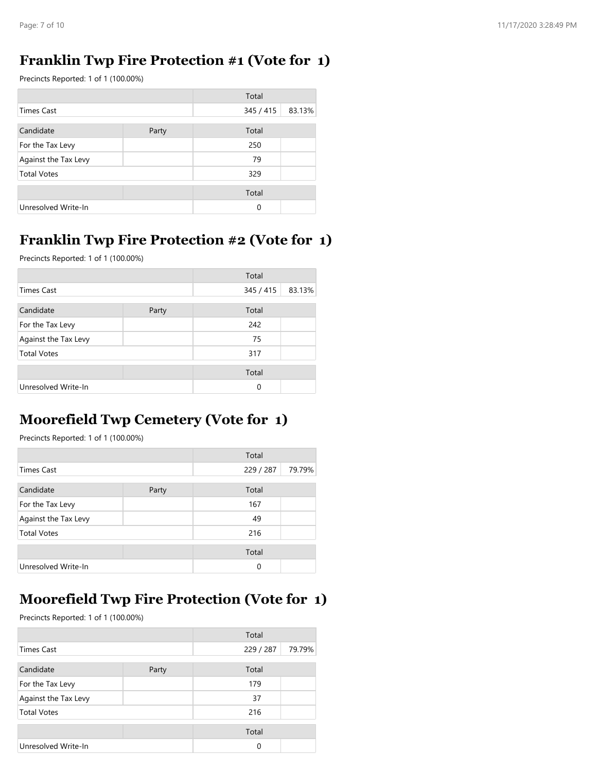### **Franklin Twp Fire Protection #1 (Vote for 1)**

Precincts Reported: 1 of 1 (100.00%)

|                      |       | Total     |        |
|----------------------|-------|-----------|--------|
| Times Cast           |       | 345 / 415 | 83.13% |
| Candidate            | Party | Total     |        |
| For the Tax Levy     |       | 250       |        |
| Against the Tax Levy |       | 79        |        |
| <b>Total Votes</b>   |       | 329       |        |
|                      |       | Total     |        |
| Unresolved Write-In  |       | 0         |        |

# **Franklin Twp Fire Protection #2 (Vote for 1)**

Precincts Reported: 1 of 1 (100.00%)

|                      |       | Total     |        |
|----------------------|-------|-----------|--------|
| <b>Times Cast</b>    |       | 345 / 415 | 83.13% |
| Candidate            | Party | Total     |        |
| For the Tax Levy     |       | 242       |        |
| Against the Tax Levy |       | 75        |        |
| <b>Total Votes</b>   |       | 317       |        |
|                      |       | Total     |        |
| Unresolved Write-In  |       | 0         |        |

# **Moorefield Twp Cemetery (Vote for 1)**

Precincts Reported: 1 of 1 (100.00%)

|                      |       | Total     |        |
|----------------------|-------|-----------|--------|
| <b>Times Cast</b>    |       | 229 / 287 | 79.79% |
| Candidate            | Party | Total     |        |
| For the Tax Levy     |       | 167       |        |
| Against the Tax Levy |       | 49        |        |
| <b>Total Votes</b>   |       | 216       |        |
|                      |       | Total     |        |
| Unresolved Write-In  |       | 0         |        |

# **Moorefield Twp Fire Protection (Vote for 1)**

|                      |       | Total     |        |
|----------------------|-------|-----------|--------|
| Times Cast           |       | 229 / 287 | 79.79% |
| Candidate            | Party | Total     |        |
| For the Tax Levy     |       | 179       |        |
| Against the Tax Levy |       | 37        |        |
| <b>Total Votes</b>   |       | 216       |        |
|                      |       | Total     |        |
| Unresolved Write-In  |       | 0         |        |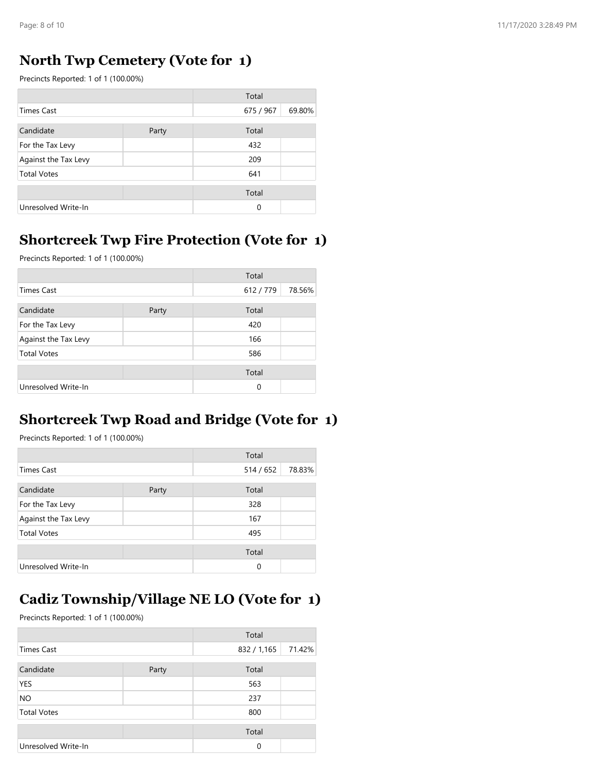### **North Twp Cemetery (Vote for 1)**

Precincts Reported: 1 of 1 (100.00%)

|                      |       | Total     |        |
|----------------------|-------|-----------|--------|
| <b>Times Cast</b>    |       | 675 / 967 | 69.80% |
| Candidate            | Party | Total     |        |
| For the Tax Levy     |       | 432       |        |
| Against the Tax Levy |       | 209       |        |
| <b>Total Votes</b>   |       | 641       |        |
|                      |       | Total     |        |
| Unresolved Write-In  |       | $\Omega$  |        |

### **Shortcreek Twp Fire Protection (Vote for 1)**

Precincts Reported: 1 of 1 (100.00%)

|                      |       | Total     |        |
|----------------------|-------|-----------|--------|
| Times Cast           |       | 612 / 779 | 78.56% |
| Candidate            | Party | Total     |        |
| For the Tax Levy     |       | 420       |        |
| Against the Tax Levy |       | 166       |        |
| <b>Total Votes</b>   |       | 586       |        |
|                      |       | Total     |        |
| Unresolved Write-In  |       | 0         |        |

### **Shortcreek Twp Road and Bridge (Vote for 1)**

Precincts Reported: 1 of 1 (100.00%)

|                      |       | Total     |        |
|----------------------|-------|-----------|--------|
| Times Cast           |       | 514 / 652 | 78.83% |
| Candidate            | Party | Total     |        |
| For the Tax Levy     |       | 328       |        |
| Against the Tax Levy |       | 167       |        |
| <b>Total Votes</b>   |       | 495       |        |
|                      |       | Total     |        |
| Unresolved Write-In  |       | $\Omega$  |        |

# **Cadiz Township/Village NE LO (Vote for 1)**

|                     |       | Total       |        |
|---------------------|-------|-------------|--------|
| <b>Times Cast</b>   |       | 832 / 1,165 | 71.42% |
| Candidate           | Party | Total       |        |
| YES                 |       | 563         |        |
| <b>NO</b>           |       | 237         |        |
| <b>Total Votes</b>  |       | 800         |        |
|                     |       | Total       |        |
| Unresolved Write-In |       | 0           |        |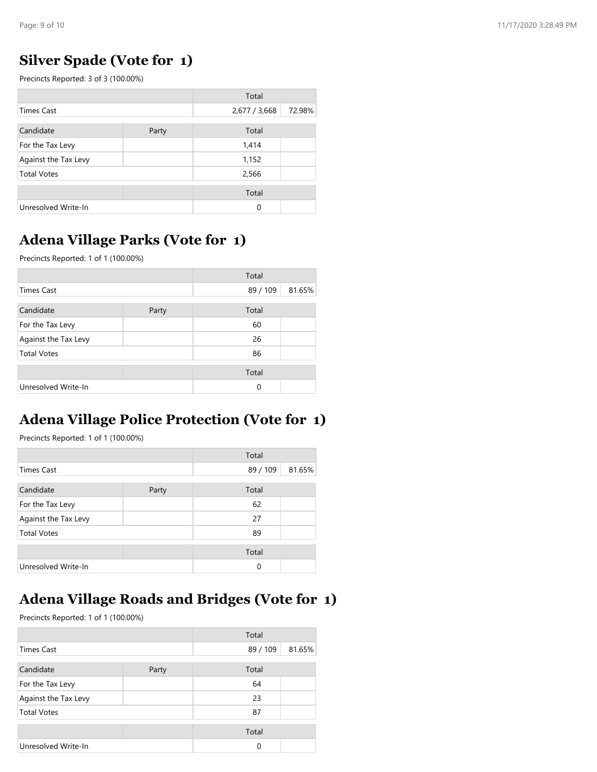### **Silver Spade (Vote for 1)**

Precincts Reported: 3 of 3 (100.00%)

|                      |       | Total         |        |
|----------------------|-------|---------------|--------|
| <b>Times Cast</b>    |       | 2,677 / 3,668 | 72.98% |
| Candidate            | Party | Total         |        |
| For the Tax Levy     |       | 1,414         |        |
| Against the Tax Levy |       | 1,152         |        |
| <b>Total Votes</b>   |       | 2,566         |        |
|                      |       | Total         |        |
| Unresolved Write-In  |       | $\Omega$      |        |

# **Adena Village Parks (Vote for 1)**

Precincts Reported: 1 of 1 (100.00%)

|                      |       | Total    |        |
|----------------------|-------|----------|--------|
| <b>Times Cast</b>    |       | 89 / 109 | 81.65% |
| Candidate            | Party | Total    |        |
| For the Tax Levy     |       | 60       |        |
| Against the Tax Levy |       | 26       |        |
| <b>Total Votes</b>   |       | 86       |        |
|                      |       | Total    |        |
| Unresolved Write-In  |       | 0        |        |

# **Adena Village Police Protection (Vote for 1)**

Precincts Reported: 1 of 1 (100.00%)

|                      |       | Total    |        |
|----------------------|-------|----------|--------|
| <b>Times Cast</b>    |       | 89 / 109 | 81.65% |
| Candidate            | Party | Total    |        |
| For the Tax Levy     |       | 62       |        |
| Against the Tax Levy |       | 27       |        |
| <b>Total Votes</b>   |       | 89       |        |
|                      |       | Total    |        |
| Unresolved Write-In  |       | $\Omega$ |        |

# **Adena Village Roads and Bridges (Vote for 1)**

|                      |       | Total    |        |
|----------------------|-------|----------|--------|
| Times Cast           |       | 89 / 109 | 81.65% |
| Candidate            | Party | Total    |        |
| For the Tax Levy     |       | 64       |        |
| Against the Tax Levy |       | 23       |        |
| <b>Total Votes</b>   |       | 87       |        |
|                      |       | Total    |        |
| Unresolved Write-In  |       | 0        |        |